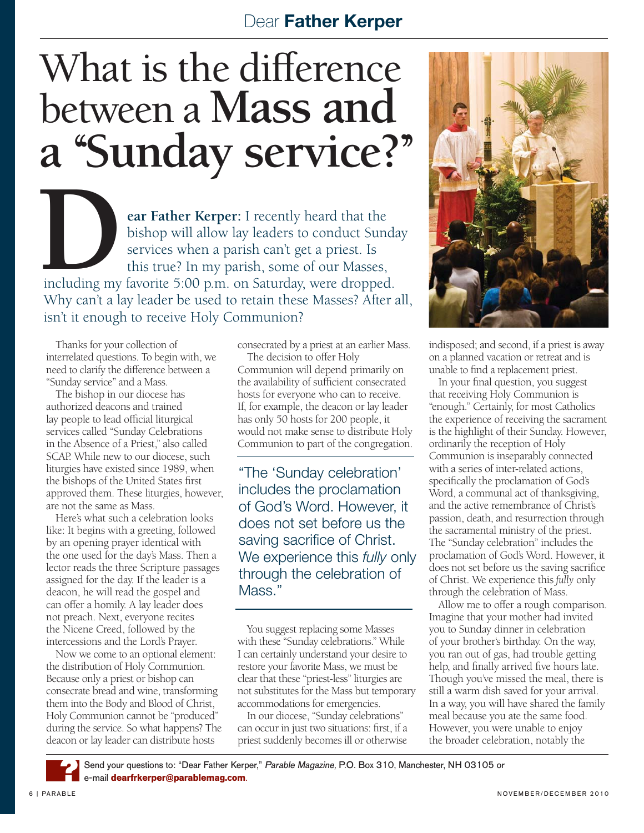## Dear Father Kerper

## What is the difference between a **Mass and a ''Sunday service?''**

EXTRICHT SERVICE SERVICE SERVICE SERVICE PRESENT THE REPRESENT OF THE BURGERY OF THE BURGERY OF THE SERVICE OF THE SERVICE OF THE SERVICE OF THE SERVICE OF THE SERVICE OF THE SERVICE OF THE SERVICE OF THE SERVICE OF THE SE bishop will allow lay leaders to conduct Sunday services when a parish can't get a priest. Is this true? In my parish, some of our Masses, including my favorite 5:00 p.m. on Saturday, were dropped. Why can't a lay leader be used to retain these Masses? After all, isn't it enough to receive Holy Communion?

Thanks for your collection of interrelated questions. To begin with, we need to clarify the difference between a "Sunday service" and a Mass.

The bishop in our diocese has authorized deacons and trained lay people to lead official liturgical services called "Sunday Celebrations in the Absence of a Priest," also called SCAP. While new to our diocese, such liturgies have existed since 1989, when the bishops of the United States first approved them. These liturgies, however, are not the same as Mass.

Here's what such a celebration looks like: It begins with a greeting, followed by an opening prayer identical with the one used for the day's Mass. Then a lector reads the three Scripture passages assigned for the day. If the leader is a deacon, he will read the gospel and can offer a homily. A lay leader does not preach. Next, everyone recites the Nicene Creed, followed by the intercessions and the Lord's Prayer.

Now we come to an optional element: the distribution of Holy Communion. Because only a priest or bishop can consecrate bread and wine, transforming them into the Body and Blood of Christ, Holy Communion cannot be "produced" during the service. So what happens? The deacon or lay leader can distribute hosts

consecrated by a priest at an earlier Mass.

The decision to offer Holy Communion will depend primarily on the availability of sufficient consecrated hosts for everyone who can to receive. If, for example, the deacon or lay leader has only 50 hosts for 200 people, it would not make sense to distribute Holy Communion to part of the congregation.

"The 'Sunday celebration' includes the proclamation of God's Word. However, it does not set before us the saving sacrifice of Christ. We experience this *fully* only through the celebration of Mass."

You suggest replacing some Masses with these "Sunday celebrations." While I can certainly understand your desire to restore your favorite Mass, we must be clear that these "priest-less" liturgies are not substitutes for the Mass but temporary accommodations for emergencies.

In our diocese, "Sunday celebrations" can occur in just two situations: first, if a priest suddenly becomes ill or otherwise



indisposed; and second, if a priest is away on a planned vacation or retreat and is unable to find a replacement priest.

In your final question, you suggest that receiving Holy Communion is "enough." Certainly, for most Catholics the experience of receiving the sacrament is the highlight of their Sunday. However, ordinarily the reception of Holy Communion is inseparably connected with a series of inter-related actions, specifically the proclamation of God's Word, a communal act of thanksgiving, and the active remembrance of Christ's passion, death, and resurrection through the sacramental ministry of the priest. The "Sunday celebration" includes the proclamation of God's Word. However, it does not set before us the saving sacrifice of Christ. We experience this *fully* only through the celebration of Mass.

Allow me to offer a rough comparison. Imagine that your mother had invited you to Sunday dinner in celebration of your brother's birthday. On the way, you ran out of gas, had trouble getting help, and finally arrived five hours late. Though you've missed the meal, there is still a warm dish saved for your arrival. In a way, you will have shared the family meal because you ate the same food. However, you were unable to enjoy the broader celebration, notably the

Send your questions to: "Dear Father Kerper," Parable Magazine, P.O. Box 310, Manchester, NH 03105 or e-mail **dearfrkerper@parablemag.com**. ?